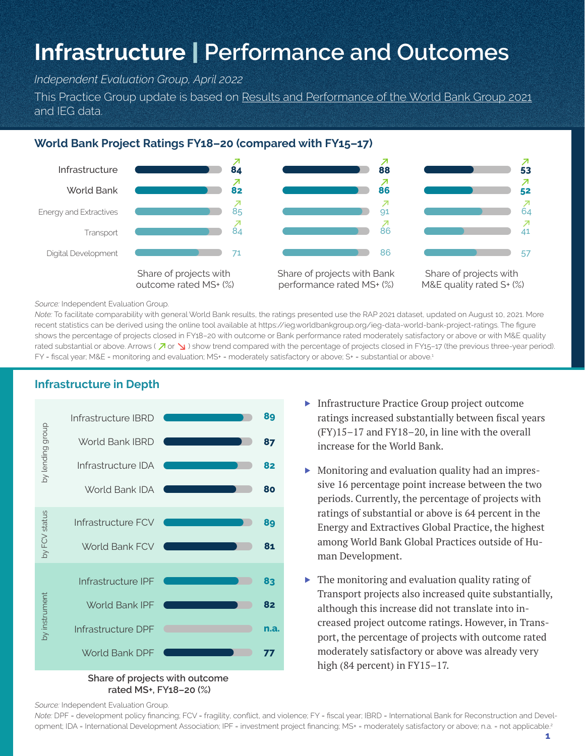# **Infrastructure** | **Performance and Outcomes**

*Independent Evaluation Group, April 2022*

This Practice Group update is based on Results and Performance of the World Bank Group 2021 and IEG data.

## **World Bank Project Ratings FY18–20 (compared with FY15–17)**



*Source:* Independent Evaluation Group.

*Note:* To facilitate comparability with general World Bank results, the ratings presented use the RAP 2021 dataset, updated on August 10, 2021. More recent statistics can be derived using the online tool available at https://ieg.worldbankgroup.org/ieg-data-world-bank-project-ratings. The figure shows the percentage of projects closed in FY18–20 with outcome or Bank performance rated moderately satisfactory or above or with M&E quality rated substantial or above. Arrows ( $\overline{\nearrow}$  or  $\searrow$ ) show trend compared with the percentage of projects closed in FY15-17 (the previous three-year period). FY = fiscal year; M&E = monitoring and evaluation; MS+ = moderately satisfactory or above; S+ = substantial or above.<sup>1</sup>



**rated MS+, FY18–20 (%)**

- ▶ Infrastructure Practice Group project outcome ratings increased substantially between fiscal years (FY)15–17 and FY18–20, in line with the overall increase for the World Bank.
- Monitoring and evaluation quality had an impressive 16 percentage point increase between the two periods. Currently, the percentage of projects with ratings of substantial or above is 64 percent in the Energy and Extractives Global Practice, the highest among World Bank Global Practices outside of Human Development.
- ▶ The monitoring and evaluation quality rating of Transport projects also increased quite substantially, although this increase did not translate into increased project outcome ratings. However, in Transport, the percentage of projects with outcome rated moderately satisfactory or above was already very high (84 percent) in FY15-17.

*Source:* Independent Evaluation Group.

*Note:* DPF = development policy financing; FCV = fragility, conflict, and violence; FY = fiscal year; IBRD = International Bank for Reconstruction and Development; IDA = International Development Association; IPF = investment project financing; MS+ = moderately satisfactory or above; n.a. = not applicable.<sup>2</sup>

#### **Infrastructure in Depth**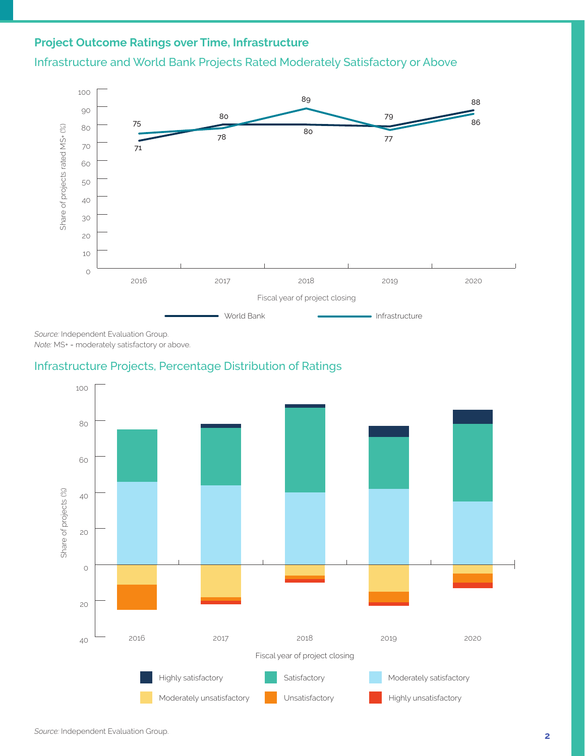### **Project Outcome Ratings over Time, Infrastructure**





*Source:* Independent Evaluation Group. *Note:* MS+ = moderately satisfactory or above.

#### Infrastructure Projects, Percentage Distribution of Ratings

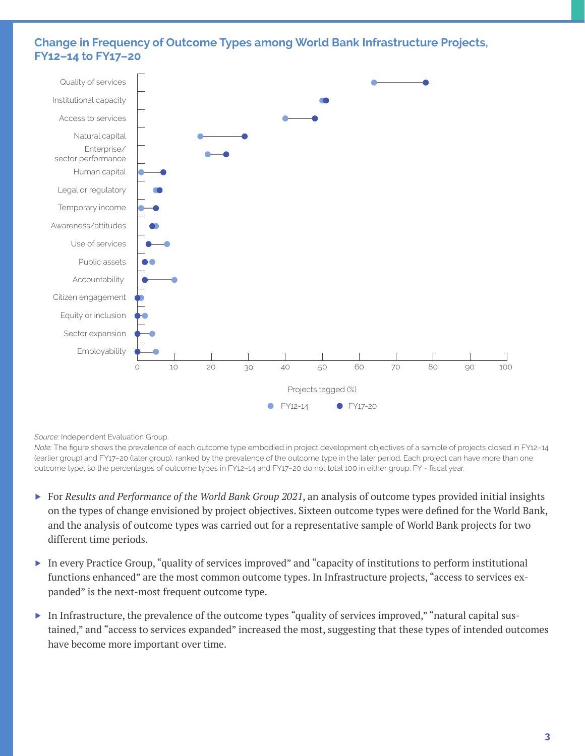#### **Change in Frequency of Outcome Types among World Bank Infrastructure Projects, FY12–14 to FY17–20**



#### *Source:* Independent Evaluation Group.

*Note:* The figure shows the prevalence of each outcome type embodied in project development objectives of a sample of projects closed in FY12–14 (earlier group) and FY17–20 (later group), ranked by the prevalence of the outcome type in the later period. Each project can have more than one outcome type, so the percentages of outcome types in FY12–14 and FY17–20 do not total 100 in either group. FY = fiscal year.

- ▶ For *Results and Performance of the World Bank Group 2021*, an analysis of outcome types provided initial insights on the types of change envisioned by project objectives. Sixteen outcome types were defined for the World Bank, and the analysis of outcome types was carried out for a representative sample of World Bank projects for two different time periods.
- ▶ In every Practice Group, "quality of services improved" and "capacity of institutions to perform institutional functions enhanced" are the most common outcome types. In Infrastructure projects, "access to services expanded" is the next-most frequent outcome type.
- ▶ In Infrastructure, the prevalence of the outcome types "quality of services improved," "natural capital sustained," and "access to services expanded" increased the most, suggesting that these types of intended outcomes have become more important over time.